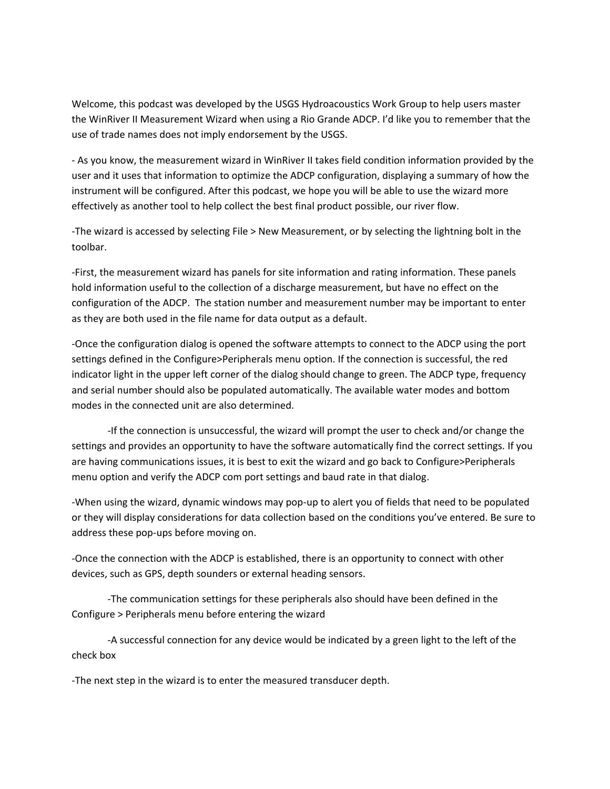Welcome, this podcast was developed by the USGS Hydroacoustics Work Group to help users master the WinRiver II Measurement Wizard when using a Rio Grande ADCP. I'd like you to remember that the use of trade names does not imply endorsement by the USGS.

- As you know, the measurement wizard in WinRiver II takes field condition information provided by the user and it uses that information to optimize the ADCP configuration, displaying a summary of how the instrument will be configured. After this podcast, we hope you will be able to use the wizard more effectively as another tool to help collect the best final product possible, our river flow.

-The wizard is accessed by selecting File > New Measurement, or by selecting the lightning bolt in the toolbar.

-First, the measurement wizard has panels for site information and rating information. These panels hold information useful to the collection of a discharge measurement, but have no effect on the configuration of the ADCP. The station number and measurement number may be important to enter as they are both used in the file name for data output as a default.

-Once the configuration dialog is opened the software attempts to connect to the ADCP using the port settings defined in the Configure>Peripherals menu option. If the connection is successful, the red indicator light in the upper left corner of the dialog should change to green. The ADCP type, frequency and serial number should also be populated automatically. The available water modes and bottom modes in the connected unit are also determined.

-If the connection is unsuccessful, the wizard will prompt the user to check and/or change the settings and provides an opportunity to have the software automatically find the correct settings. If you are having communications issues, it is best to exit the wizard and go back to Configure>Peripherals menu option and verify the ADCP com port settings and baud rate in that dialog.

-When using the wizard, dynamic windows may pop-up to alert you of fields that need to be populated or they will display considerations for data collection based on the conditions you've entered. Be sure to address these pop-ups before moving on.

-Once the connection with the ADCP is established, there is an opportunity to connect with other devices, such as GPS, depth sounders or external heading sensors.

-The communication settings for these peripherals also should have been defined in the Configure > Peripherals menu before entering the wizard

-A successful connection for any device would be indicated by a green light to the left of the check box

-The next step in the wizard is to enter the measured transducer depth.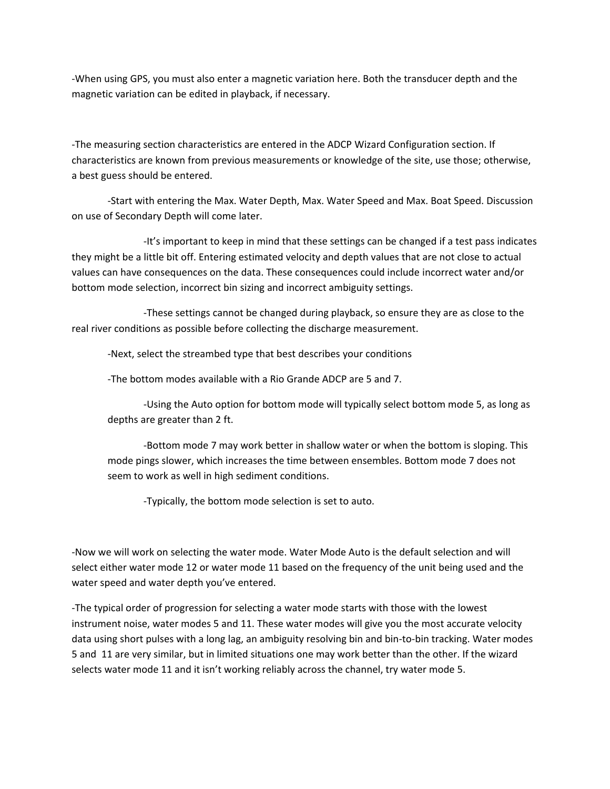-When using GPS, you must also enter a magnetic variation here. Both the transducer depth and the magnetic variation can be edited in playback, if necessary.

-The measuring section characteristics are entered in the ADCP Wizard Configuration section. If characteristics are known from previous measurements or knowledge of the site, use those; otherwise, a best guess should be entered.

-Start with entering the Max. Water Depth, Max. Water Speed and Max. Boat Speed. Discussion on use of Secondary Depth will come later.

-It's important to keep in mind that these settings can be changed if a test pass indicates they might be a little bit off. Entering estimated velocity and depth values that are not close to actual values can have consequences on the data. These consequences could include incorrect water and/or bottom mode selection, incorrect bin sizing and incorrect ambiguity settings.

-These settings cannot be changed during playback, so ensure they are as close to the real river conditions as possible before collecting the discharge measurement.

-Next, select the streambed type that best describes your conditions

-The bottom modes available with a Rio Grande ADCP are 5 and 7.

-Using the Auto option for bottom mode will typically select bottom mode 5, as long as depths are greater than 2 ft.

-Bottom mode 7 may work better in shallow water or when the bottom is sloping. This mode pings slower, which increases the time between ensembles. Bottom mode 7 does not seem to work as well in high sediment conditions.

-Typically, the bottom mode selection is set to auto.

-Now we will work on selecting the water mode. Water Mode Auto is the default selection and will select either water mode 12 or water mode 11 based on the frequency of the unit being used and the water speed and water depth you've entered.

-The typical order of progression for selecting a water mode starts with those with the lowest instrument noise, water modes 5 and 11. These water modes will give you the most accurate velocity data using short pulses with a long lag, an ambiguity resolving bin and bin-to-bin tracking. Water modes 5 and 11 are very similar, but in limited situations one may work better than the other. If the wizard selects water mode 11 and it isn't working reliably across the channel, try water mode 5.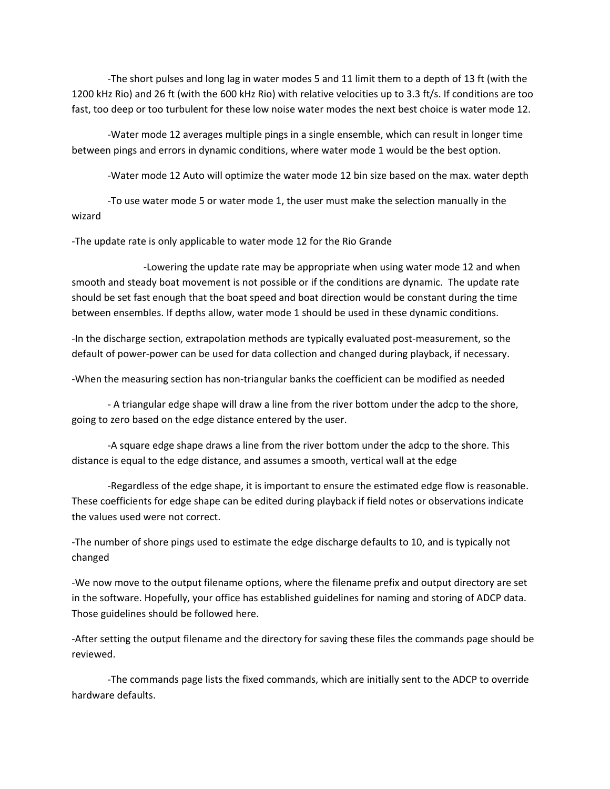-The short pulses and long lag in water modes 5 and 11 limit them to a depth of 13 ft (with the 1200 kHz Rio) and 26 ft (with the 600 kHz Rio) with relative velocities up to 3.3 ft/s. If conditions are too fast, too deep or too turbulent for these low noise water modes the next best choice is water mode 12.

-Water mode 12 averages multiple pings in a single ensemble, which can result in longer time between pings and errors in dynamic conditions, where water mode 1 would be the best option.

-Water mode 12 Auto will optimize the water mode 12 bin size based on the max. water depth

-To use water mode 5 or water mode 1, the user must make the selection manually in the wizard

-The update rate is only applicable to water mode 12 for the Rio Grande

-Lowering the update rate may be appropriate when using water mode 12 and when smooth and steady boat movement is not possible or if the conditions are dynamic. The update rate should be set fast enough that the boat speed and boat direction would be constant during the time between ensembles. If depths allow, water mode 1 should be used in these dynamic conditions.

-In the discharge section, extrapolation methods are typically evaluated post-measurement, so the default of power-power can be used for data collection and changed during playback, if necessary.

-When the measuring section has non-triangular banks the coefficient can be modified as needed

- A triangular edge shape will draw a line from the river bottom under the adcp to the shore, going to zero based on the edge distance entered by the user.

-A square edge shape draws a line from the river bottom under the adcp to the shore. This distance is equal to the edge distance, and assumes a smooth, vertical wall at the edge

-Regardless of the edge shape, it is important to ensure the estimated edge flow is reasonable. These coefficients for edge shape can be edited during playback if field notes or observations indicate the values used were not correct.

-The number of shore pings used to estimate the edge discharge defaults to 10, and is typically not changed

-We now move to the output filename options, where the filename prefix and output directory are set in the software. Hopefully, your office has established guidelines for naming and storing of ADCP data. Those guidelines should be followed here.

-After setting the output filename and the directory for saving these files the commands page should be reviewed.

-The commands page lists the fixed commands, which are initially sent to the ADCP to override hardware defaults.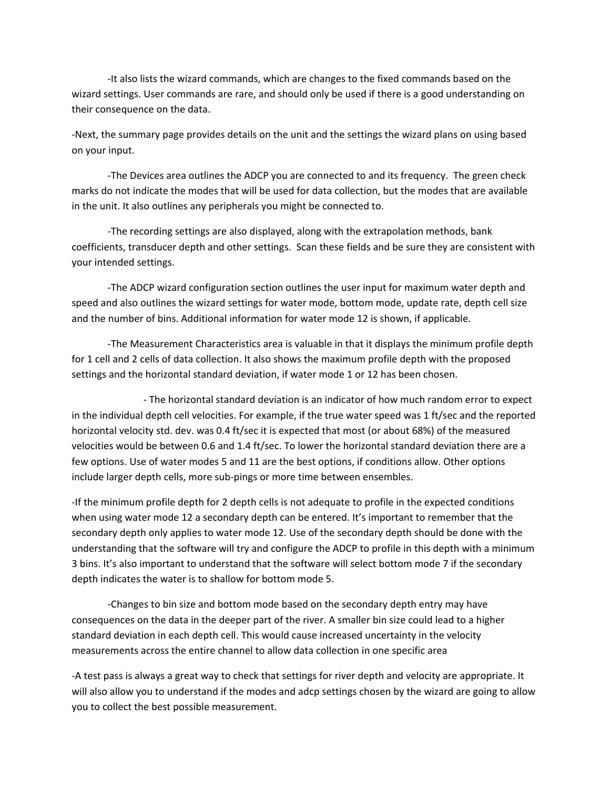-It also lists the wizard commands, which are changes to the fixed commands based on the wizard settings. User commands are rare, and should only be used if there is a good understanding on their consequence on the data.

-Next, the summary page provides details on the unit and the settings the wizard plans on using based on your input.

-The Devices area outlines the ADCP you are connected to and its frequency. The green check marks do not indicate the modes that will be used for data collection, but the modes that are available in the unit. It also outlines any peripherals you might be connected to.

-The recording settings are also displayed, along with the extrapolation methods, bank coefficients, transducer depth and other settings. Scan these fields and be sure they are consistent with your intended settings.

-The ADCP wizard configuration section outlines the user input for maximum water depth and speed and also outlines the wizard settings for water mode, bottom mode, update rate, depth cell size and the number of bins. Additional information for water mode 12 is shown, if applicable.

-The Measurement Characteristics area is valuable in that it displays the minimum profile depth for 1 cell and 2 cells of data collection. It also shows the maximum profile depth with the proposed settings and the horizontal standard deviation, if water mode 1 or 12 has been chosen.

- The horizontal standard deviation is an indicator of how much random error to expect in the individual depth cell velocities. For example, if the true water speed was 1 ft/sec and the reported horizontal velocity std. dev. was 0.4 ft/sec it is expected that most (or about 68%) of the measured velocities would be between 0.6 and 1.4 ft/sec. To lower the horizontal standard deviation there are a few options. Use of water modes 5 and 11 are the best options, if conditions allow. Other options include larger depth cells, more sub-pings or more time between ensembles.

-If the minimum profile depth for 2 depth cells is not adequate to profile in the expected conditions when using water mode 12 a secondary depth can be entered. It's important to remember that the secondary depth only applies to water mode 12. Use of the secondary depth should be done with the understanding that the software will try and configure the ADCP to profile in this depth with a minimum 3 bins. It's also important to understand that the software will select bottom mode 7 if the secondary depth indicates the water is to shallow for bottom mode 5.

-Changes to bin size and bottom mode based on the secondary depth entry may have consequences on the data in the deeper part of the river. A smaller bin size could lead to a higher standard deviation in each depth cell. This would cause increased uncertainty in the velocity measurements across the entire channel to allow data collection in one specific area

-A test pass is always a great way to check that settings for river depth and velocity are appropriate. It will also allow you to understand if the modes and adcp settings chosen by the wizard are going to allow you to collect the best possible measurement.